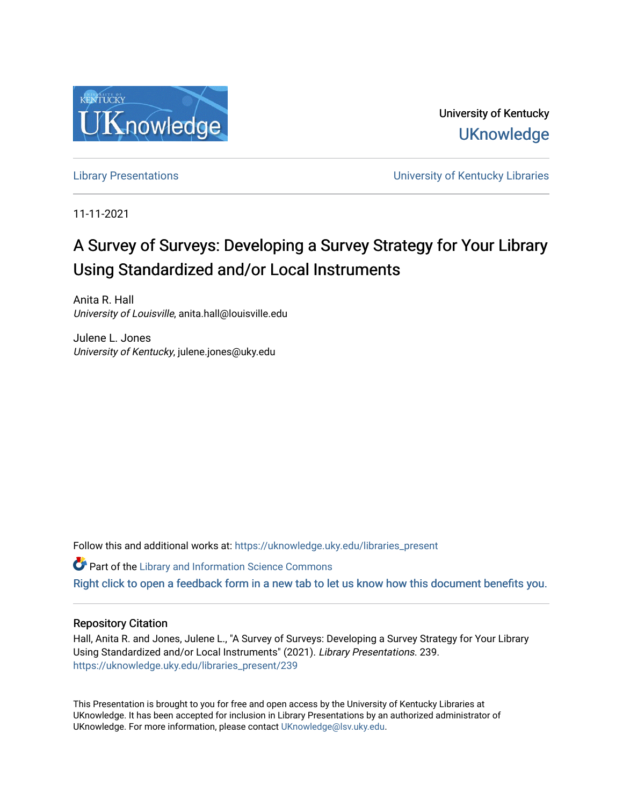

University of Kentucky **UKnowledge** 

[Library Presentations](https://uknowledge.uky.edu/libraries_present) [University of Kentucky Libraries](https://uknowledge.uky.edu/libraries) 

11-11-2021

#### A Survey of Surveys: Developing a Survey Strategy for Your Library Using Standardized and/or Local Instruments

Anita R. Hall University of Louisville, anita.hall@louisville.edu

Julene L. Jones University of Kentucky, julene.jones@uky.edu

Follow this and additional works at: [https://uknowledge.uky.edu/libraries\\_present](https://uknowledge.uky.edu/libraries_present?utm_source=uknowledge.uky.edu%2Flibraries_present%2F239&utm_medium=PDF&utm_campaign=PDFCoverPages) 

**Part of the Library and Information Science Commons** 

[Right click to open a feedback form in a new tab to let us know how this document benefits you.](https://uky.az1.qualtrics.com/jfe/form/SV_9mq8fx2GnONRfz7)

#### Repository Citation

Hall, Anita R. and Jones, Julene L., "A Survey of Surveys: Developing a Survey Strategy for Your Library Using Standardized and/or Local Instruments" (2021). Library Presentations. 239. [https://uknowledge.uky.edu/libraries\\_present/239](https://uknowledge.uky.edu/libraries_present/239?utm_source=uknowledge.uky.edu%2Flibraries_present%2F239&utm_medium=PDF&utm_campaign=PDFCoverPages) 

This Presentation is brought to you for free and open access by the University of Kentucky Libraries at UKnowledge. It has been accepted for inclusion in Library Presentations by an authorized administrator of UKnowledge. For more information, please contact [UKnowledge@lsv.uky.edu](mailto:UKnowledge@lsv.uky.edu).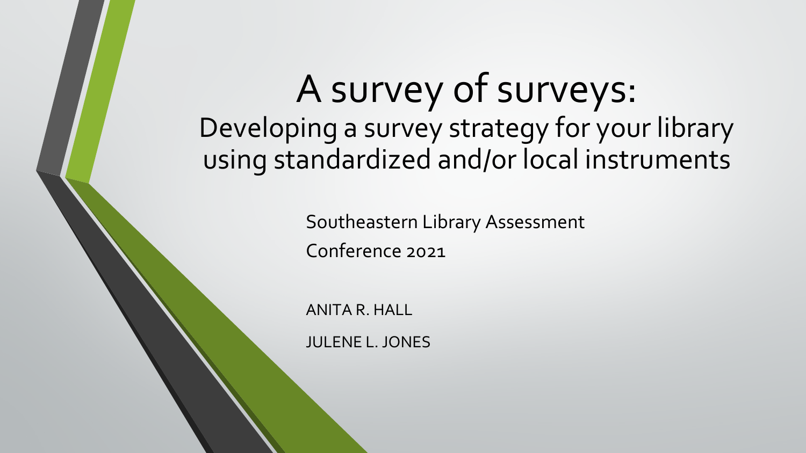# A survey of surveys: Developing a survey strategy for your library using standardized and/or local instruments

Southeastern Library Assessment Conference 2021

ANITA R. HALL

JULENE L. JONES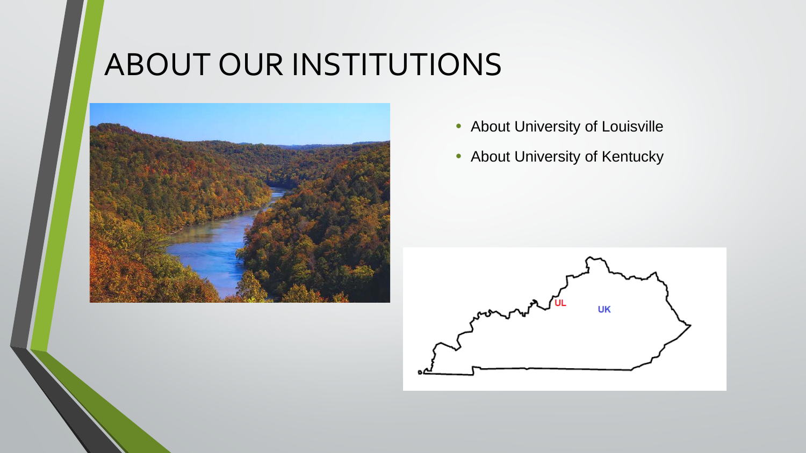## ABOUT OUR INSTITUTIONS



- About University of Louisville
- About University of Kentucky

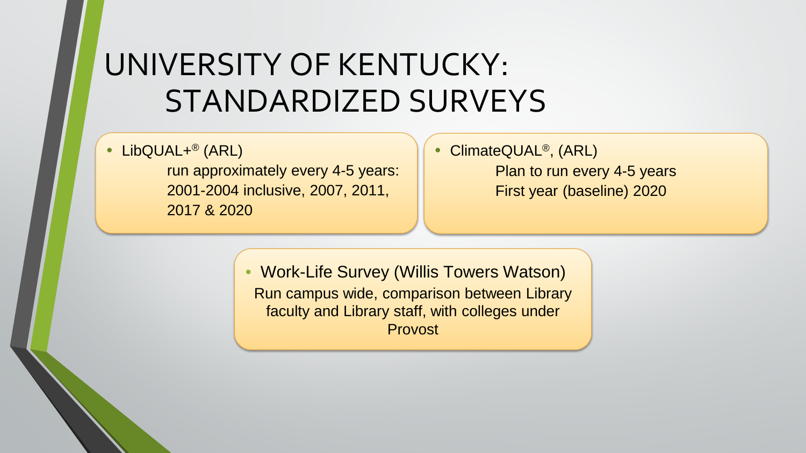### UNIVERSITY OF KENTUCKY: STANDARDIZED SURVEYS

• LibQUAL+<sup>®</sup> (ARL)

run approximately every 4-5 years: 2001-2004 inclusive, 2007, 2011, 2017 & 2020

#### • ClimateQUAL<sup>®</sup>, (ARL) Plan to run every 4-5 years First year (baseline) 2020

• Work-Life Survey (Willis Towers Watson) Run campus wide, comparison between Library faculty and Library staff, with colleges under Provost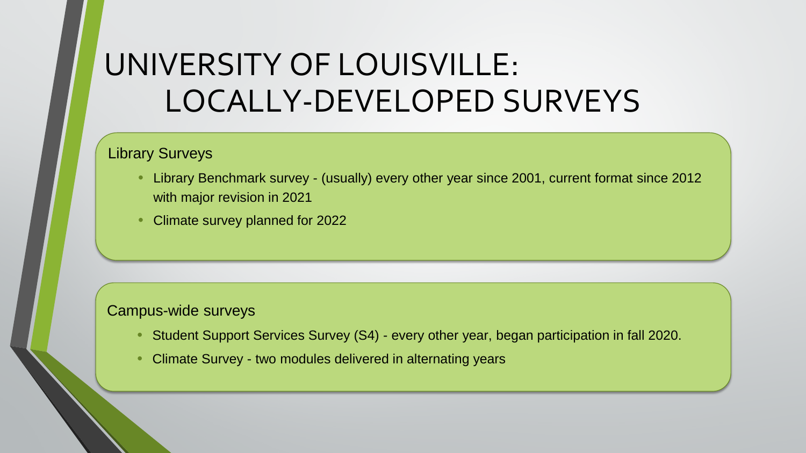## UNIVERSITY OF LOUISVILLE: LOCALLY-DEVELOPED SURVEYS

#### Library Surveys

- Library Benchmark survey (usually) every other year since 2001, current format since 2012 with major revision in 2021
- Climate survey planned for 2022

#### Campus-wide surveys

- Student Support Services Survey (S4) every other year, began participation in fall 2020.
- Climate Survey two modules delivered in alternating years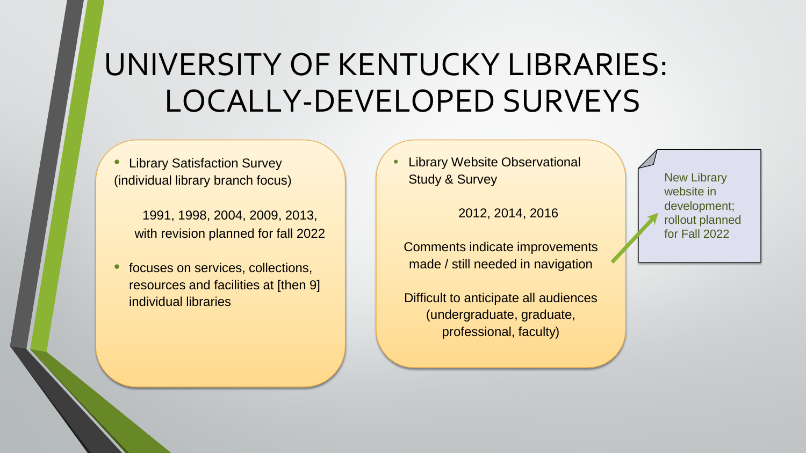### UNIVERSITY OF KENTUCKY LIBRARIES: LOCALLY-DEVELOPED SURVEYS

**Library Satisfaction Survey** (individual library branch focus)

> 1991, 1998, 2004, 2009, 2013, with revision planned for fall 2022

• focuses on services, collections, resources and facilities at [then 9] individual libraries

**Library Website Observational** Study & Survey

2012, 2014, 2016

Comments indicate improvements made / still needed in navigation

Difficult to anticipate all audiences (undergraduate, graduate, professional, faculty)

New Library website in development; rollout planned for Fall 2022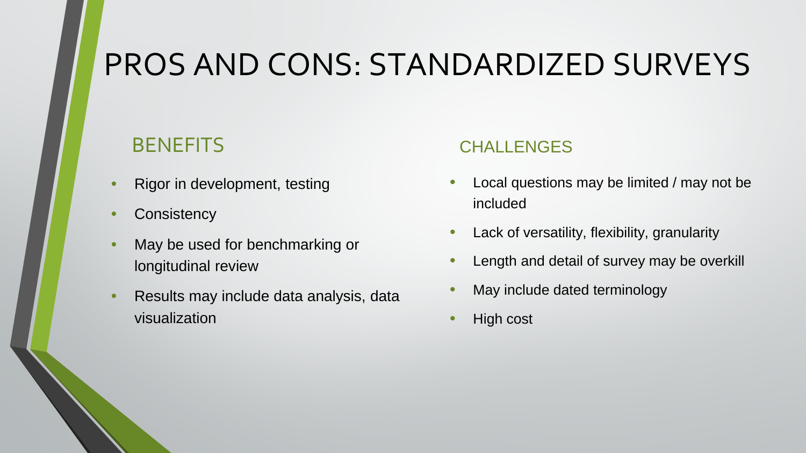### PROS AND CONS: STANDARDIZED SURVEYS

### **BENEFITS**

- Rigor in development, testing
- Consistency
- May be used for benchmarking or longitudinal review
- Results may include data analysis, data visualization

### **CHALLENGES**

- Local questions may be limited / may not be included
- Lack of versatility, flexibility, granularity
- Length and detail of survey may be overkill
- May include dated terminology
- High cost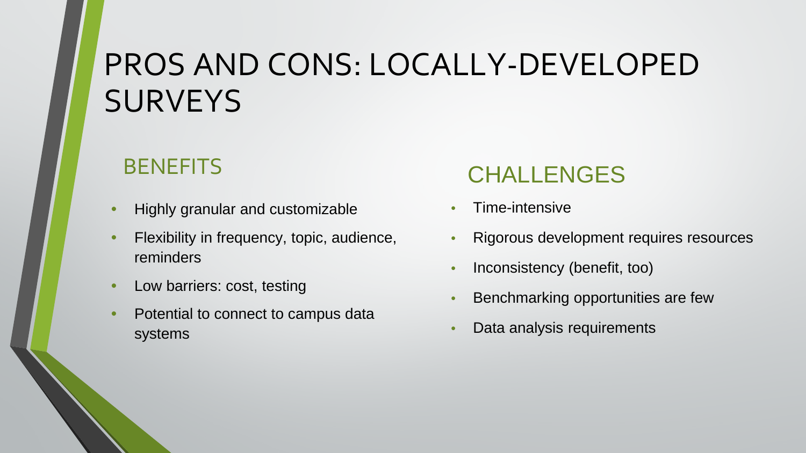## PROS AND CONS: LOCALLY-DEVELOPED **SURVEYS**

### **BENEFITS**

- Highly granular and customizable
- Flexibility in frequency, topic, audience, reminders
- Low barriers: cost, testing
- Potential to connect to campus data systems

### **CHALLENGES**

- Time-intensive
- Rigorous development requires resources
- Inconsistency (benefit, too)
- Benchmarking opportunities are few
- Data analysis requirements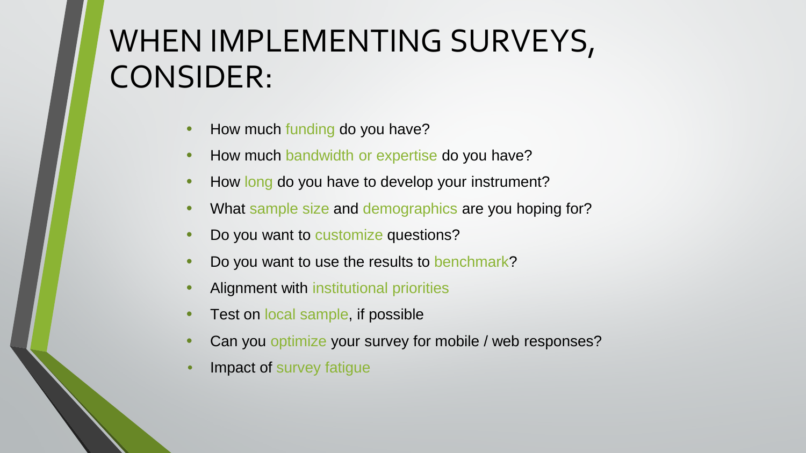## WHEN IMPLEMENTING SURVEYS, CONSIDER:

- How much funding do you have?
- How much bandwidth or expertise do you have?
- How long do you have to develop your instrument?
- What sample size and demographics are you hoping for?
- Do you want to customize questions?
- Do you want to use the results to benchmark?
- Alignment with institutional priorities
- Test on local sample, if possible
- Can you optimize your survey for mobile / web responses?
- Impact of survey fatigue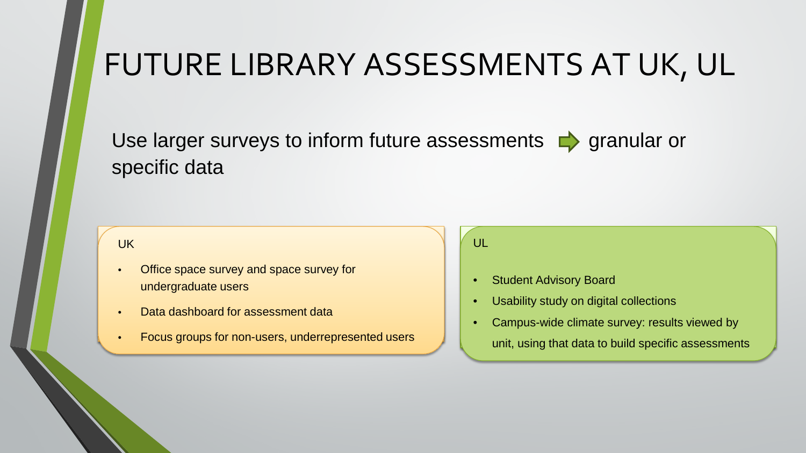### FUTURE LIBRARY ASSESSMENTS AT UK, UL

Use larger surveys to inform future assessments  $\blacktriangleright$  granular or specific data

#### UK UK

- Office space survey and space survey for undergraduate users
- Data dashboard for assessment data Data dashboard for assessment data
- Focus groups for non-users, underrepresented users Focus groups for non-users, underrepresented users

#### UL UL

- Student Advisory Board Student Advisory Board
- Usability study on digital collections Usability study on digital collections
- Campus-wide climate survey: results viewed by
	- unit, using that data to build specific assessments